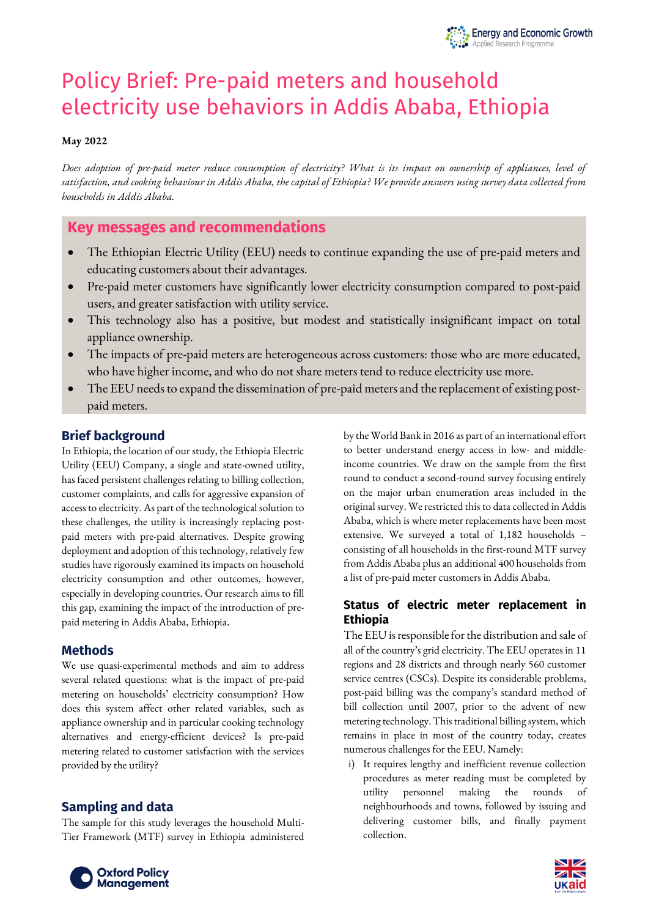

# Policy Brief: Pre-paid meters and household electricity use behaviors in Addis Ababa, Ethiopia

#### **May 2022**

*Does adoption of pre-paid meter reduce consumption of electricity? What is its impact on ownership of appliances, level of satisfaction, and cooking behaviour in Addis Ababa, the capital of Ethiopia? We provide answers using survey data collected from households in Addis Ababa.*

# **Key messages and recommendations**

- The Ethiopian Electric Utility (EEU) needs to continue expanding the use of pre-paid meters and educating customers about their advantages.
- Pre-paid meter customers have significantly lower electricity consumption compared to post-paid users, and greater satisfaction with utility service.
- This technology also has a positive, but modest and statistically insignificant impact on total appliance ownership.
- The impacts of pre-paid meters are heterogeneous across customers: those who are more educated, who have higher income, and who do not share meters tend to reduce electricity use more.
- The EEU needs to expand the dissemination of pre-paid meters and the replacement of existing postpaid meters.

# **Brief background**

In Ethiopia, the location of our study, the Ethiopia Electric Utility (EEU) Company, a single and state-owned utility, has faced persistent challenges relating to billing collection, customer complaints, and calls for aggressive expansion of access to electricity. As part of the technological solution to these challenges, the utility is increasingly replacing postpaid meters with pre-paid alternatives. Despite growing deployment and adoption of this technology, relatively few studies have rigorously examined its impacts on household electricity consumption and other outcomes, however, especially in developing countries. Our research aims to fill this gap, examining the impact of the introduction of prepaid metering in Addis Ababa, Ethiopia.

# **Methods**

We use quasi-experimental methods and aim to address several related questions: what is the impact of pre-paid metering on households' electricity consumption? How does this system affect other related variables, such as appliance ownership and in particular cooking technology alternatives and energy-efficient devices? Is pre-paid metering related to customer satisfaction with the services provided by the utility?

# **Sampling and data**

The sample for this study leverages the household Multi-Tier Framework (MTF) survey in Ethiopia administered by the World Bank in 2016 as part of an international effort to better understand energy access in low- and middleincome countries. We draw on the sample from the first round to conduct a second-round survey focusing entirely on the major urban enumeration areas included in the original survey. We restricted this to data collected in Addis Ababa, which is where meter replacements have been most extensive. We surveyed a total of 1,182 households – consisting of all households in the first-round MTF survey from Addis Ababa plus an additional 400 households from a list of pre-paid meter customers in Addis Ababa.

# **Status of electric meter replacement in Ethiopia**

The EEU is responsible for the distribution and sale of all of the country's grid electricity. The EEU operates in 11 regions and 28 districts and through nearly 560 customer service centres (CSCs). Despite its considerable problems, post-paid billing was the company's standard method of bill collection until 2007, prior to the advent of new metering technology. This traditional billing system, which remains in place in most of the country today, creates numerous challenges for the EEU. Namely:

i) It requires lengthy and inefficient revenue collection procedures as meter reading must be completed by utility personnel making the rounds of neighbourhoods and towns, followed by issuing and delivering customer bills, and finally payment collection.



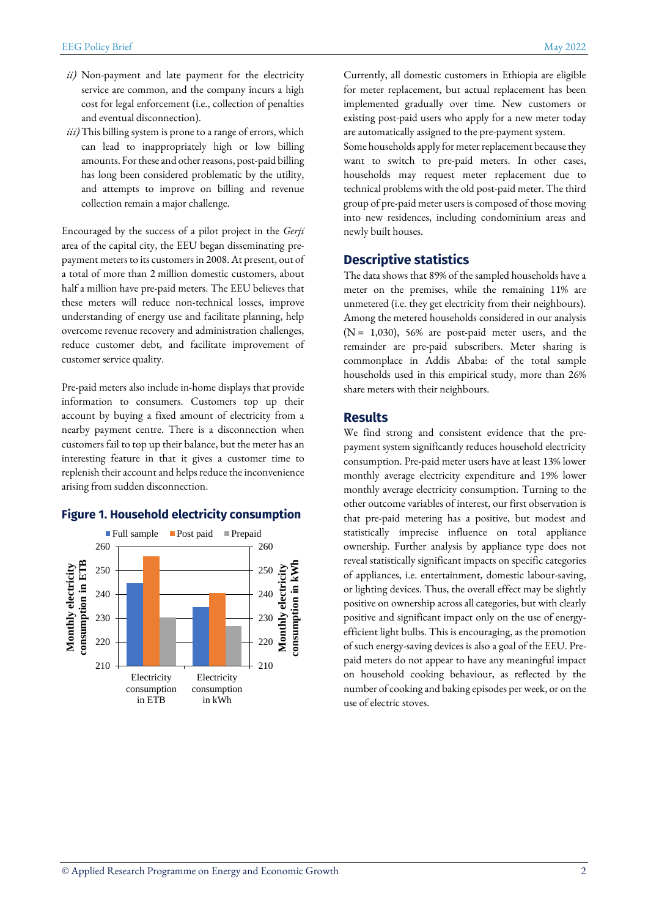- *ii)* Non-payment and late payment for the electricity service are common, and the company incurs a high cost for legal enforcement (i.e., collection of penalties and eventual disconnection).
- *iii)*This billing system is prone to a range of errors, which can lead to inappropriately high or low billing amounts. For these and other reasons, post-paid billing has long been considered problematic by the utility, and attempts to improve on billing and revenue collection remain a major challenge.

Encouraged by the success of a pilot project in the *Gerji* area of the capital city, the EEU began disseminating prepayment meters to its customers in 2008. At present, out of a total of more than 2 million domestic customers, about half a million have pre-paid meters. The EEU believes that these meters will reduce non-technical losses, improve understanding of energy use and facilitate planning, help overcome revenue recovery and administration challenges, reduce customer debt, and facilitate improvement of customer service quality.

Pre-paid meters also include in-home displays that provide information to consumers. Customers top up their account by buying a fixed amount of electricity from a nearby payment centre. There is a disconnection when customers fail to top up their balance, but the meter has an interesting feature in that it gives a customer time to replenish their account and helps reduce the inconvenience arising from sudden disconnection.

#### **Figure 1. Household electricity consumption**



Currently, all domestic customers in Ethiopia are eligible for meter replacement, but actual replacement has been implemented gradually over time. New customers or existing post-paid users who apply for a new meter today are automatically assigned to the pre-payment system.

Some households apply for meter replacement because they want to switch to pre-paid meters. In other cases, households may request meter replacement due to technical problems with the old post-paid meter. The third group of pre-paid meter users is composed of those moving into new residences, including condominium areas and newly built houses.

# **Descriptive statistics**

The data shows that 89% of the sampled households have a meter on the premises, while the remaining 11% are unmetered (i.e. they get electricity from their neighbours). Among the metered households considered in our analysis  $(N = 1,030)$ , 56% are post-paid meter users, and the remainder are pre-paid subscribers. Meter sharing is commonplace in Addis Ababa: of the total sample households used in this empirical study, more than 26% share meters with their neighbours.

#### **Results**

We find strong and consistent evidence that the prepayment system significantly reduces household electricity consumption. Pre-paid meter users have at least 13% lower monthly average electricity expenditure and 19% lower monthly average electricity consumption. Turning to the other outcome variables of interest, our first observation is that pre-paid metering has a positive, but modest and statistically imprecise influence on total appliance ownership. Further analysis by appliance type does not reveal statistically significant impacts on specific categories of appliances, i.e. entertainment, domestic labour-saving, or lighting devices. Thus, the overall effect may be slightly positive on ownership across all categories, but with clearly positive and significant impact only on the use of energyefficient light bulbs. This is encouraging, as the promotion of such energy-saving devices is also a goal of the EEU. Prepaid meters do not appear to have any meaningful impact on household cooking behaviour, as reflected by the number of cooking and baking episodes per week, or on the use of electric stoves.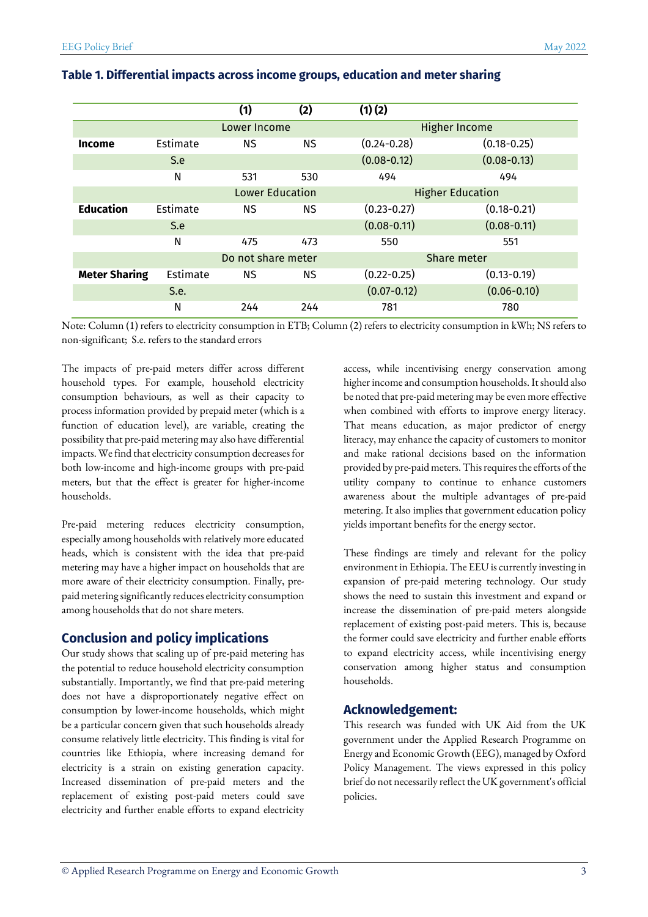|                      |                 | (1)                    | (2)       | (1)(2)                  |                 |
|----------------------|-----------------|------------------------|-----------|-------------------------|-----------------|
|                      |                 | Lower Income           |           | <b>Higher Income</b>    |                 |
| <b>Income</b>        | Estimate        | <b>NS</b>              | <b>NS</b> | $(0.24 - 0.28)$         | $(0.18 - 0.25)$ |
|                      | S.e             |                        |           | $(0.08 - 0.12)$         | $(0.08 - 0.13)$ |
|                      | N               | 531                    | 530       | 494                     | 494             |
|                      |                 | <b>Lower Education</b> |           | <b>Higher Education</b> |                 |
| <b>Education</b>     | <b>Fstimate</b> | NS.                    | ΝS        | $(0.23 - 0.27)$         | $(0.18 - 0.21)$ |
|                      | S.e             |                        |           | $(0.08 - 0.11)$         | $(0.08 - 0.11)$ |
|                      | N               | 475                    | 473       | 550                     | 551             |
|                      |                 | Do not share meter     |           | Share meter             |                 |
| <b>Meter Sharing</b> | Estimate        | NS.                    | ΝS        | $(0.22 - 0.25)$         | $(0.13 - 0.19)$ |
|                      | S.e.            |                        |           | $(0.07 - 0.12)$         | $(0.06 - 0.10)$ |
|                      | N               | 244                    | 244       | 781                     | 780             |

#### **Table 1. Differential impacts across income groups, education and meter sharing**

Note: Column (1) refers to electricity consumption in ETB; Column (2) refers to electricity consumption in kWh; NS refers to non-significant; S.e. refers to the standard errors

The impacts of pre-paid meters differ across different household types. For example, household electricity consumption behaviours, as well as their capacity to process information provided by prepaid meter (which is a function of education level), are variable, creating the possibility that pre-paid metering may also have differential impacts. We find that electricity consumption decreases for both low-income and high-income groups with pre-paid meters, but that the effect is greater for higher-income households.

Pre-paid metering reduces electricity consumption, especially among households with relatively more educated heads, which is consistent with the idea that pre-paid metering may have a higher impact on households that are more aware of their electricity consumption. Finally, prepaid metering significantly reduces electricity consumption among households that do not share meters.

# **Conclusion and policy implications**

Our study shows that scaling up of pre-paid metering has the potential to reduce household electricity consumption substantially. Importantly, we find that pre-paid metering does not have a disproportionately negative effect on consumption by lower-income households, which might be a particular concern given that such households already consume relatively little electricity. This finding is vital for countries like Ethiopia, where increasing demand for electricity is a strain on existing generation capacity. Increased dissemination of pre-paid meters and the replacement of existing post-paid meters could save electricity and further enable efforts to expand electricity access, while incentivising energy conservation among higher incomeand consumption households. It should also be noted that pre-paid metering may be even more effective when combined with efforts to improve energy literacy. That means education, as major predictor of energy literacy, may enhance the capacity of customers to monitor and make rational decisions based on the information provided by pre-paid meters. This requires the efforts of the utility company to continue to enhance customers awareness about the multiple advantages of pre-paid metering. It also implies that government education policy yields important benefits for the energy sector.

These findings are timely and relevant for the policy environment in Ethiopia. The EEU is currently investing in expansion of pre-paid metering technology. Our study shows the need to sustain this investment and expand or increase the dissemination of pre-paid meters alongside replacement of existing post-paid meters. This is, because the former could save electricity and further enable efforts to expand electricity access, while incentivising energy conservation among higher status and consumption households.

# **Acknowledgement:**

This research was funded with UK Aid from the UK government under the Applied Research Programme on Energy and Economic Growth (EEG), managed by Oxford Policy Management. The views expressed in this policy brief do not necessarily reflect the UK government's official policies.